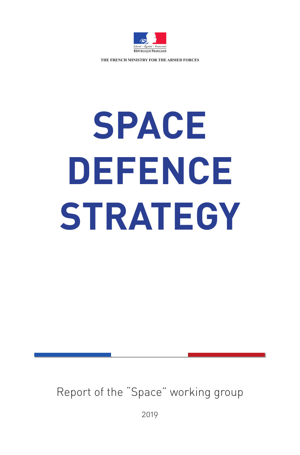

**THE FRENCH MINISTRY FOR THE ARMED FORCES**

# **SPACE DEFENCE STRATEGY**

Report of the "Space" working group

2019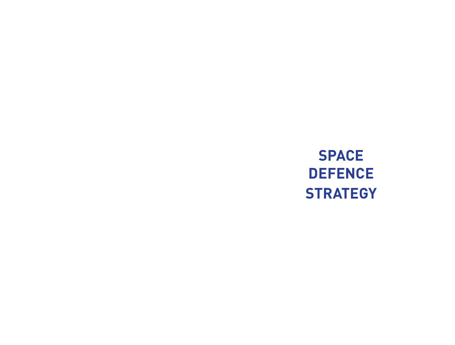# **SPACE DEFENCE STRATEGY**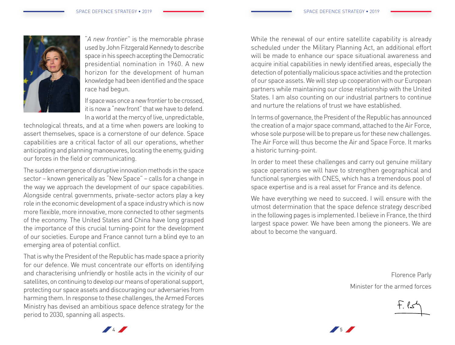

"*A new frontier*" is the memorable phrase used by John Fitzgerald Kennedy to describe space in his speech accepting the Democratic presidential nomination in 1960. A new horizon for the development of human knowledge had been identified and the space race had begun.

If space was once a new frontier to be crossed, it is now a "new front" that we have to defend. In a world at the mercy of live, unpredictable,

technological threats, and at a time when powers are looking to assert themselves, space is a cornerstone of our defence. Space capabilities are a critical factor of all our operations, whether anticipating and planning manoeuvres, locating the enemy, guiding our forces in the field or communicating.

The sudden emergence of disruptive innovation methods in the space sector – known generically as "New Space" – calls for a change in the way we approach the development of our space capabilities. Alongside central governments, private-sector actors play a key role in the economic development of a space industry which is now more flexible, more innovative, more connected to other segments of the economy. The United States and China have long grasped the importance of this crucial turning-point for the development of our societies. Europe and France cannot turn a blind eye to an emerging area of potential conflict.

That is why the President of the Republic has made space a priority for our defence. We must concentrate our efforts on identifying and characterising unfriendly or hostile acts in the vicinity of our satellites, on continuing to develop our means of operational support, protecting our space assets and discouraging our adversaries from harming them. In response to these challenges, the Armed Forces Ministry has devised an ambitious space defence strategy for the period to 2030, spanning all aspects.

While the renewal of our entire satellite capability is already scheduled under the Military Planning Act, an additional effort will be made to enhance our space situational awareness and acquire initial capabilities in newly identified areas, especially the detection of potentially malicious space activities and the protection of our space assets. We will step up cooperation with our European partners while maintaining our close relationship with the United States. I am also counting on our industrial partners to continue and nurture the relations of trust we have established.

In terms of governance, the President of the Republic has announced the creation of a major space command, attached to the Air Force, whose sole purpose will be to prepare us for these new challenges. The Air Force will thus become the Air and Space Force. It marks a historic turning-point.

In order to meet these challenges and carry out genuine military space operations we will have to strengthen geographical and functional synergies with CNES, which has a tremendous pool of space expertise and is a real asset for France and its defence.

We have everything we need to succeed. I will ensure with the utmost determination that the space defence strategy described in the following pages is implemented. I believe in France, the third largest space power. We have been among the pioneers. We are about to become the vanguard.

> Florence Parly Minister for the armed forces

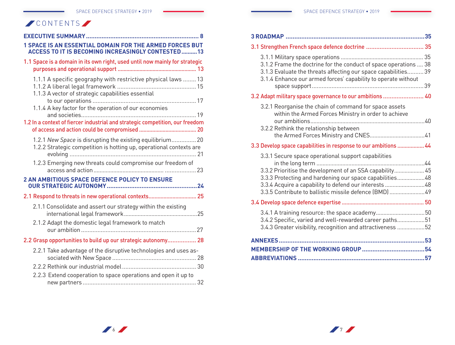# **CONTENTS**

| <b>1 SPACE IS AN ESSENTIAL DOMAIN FOR THE ARMED FORCES BUT</b><br><b>ACCESS TO IT IS BECOMING INCREASINGLY CONTESTED13</b>       |
|----------------------------------------------------------------------------------------------------------------------------------|
| 1.1 Space is a domain in its own right, used until now mainly for strategic                                                      |
| 1.1.1 A specific geography with restrictive physical laws  13<br>1.1.3 A vector of strategic capabilities essential              |
| 1.1.4 A key factor for the operation of our economies                                                                            |
| 1.2 In a context of fiercer industrial and strategic competition, our freedom                                                    |
| 1.2.1 New Space is disrupting the existing equilibrium 20<br>1.2.2 Strategic competition is hotting up, operational contexts are |
| 1.2.3 Emerging new threats could compromise our freedom of                                                                       |
| 2 AN AMBITIOUS SPACE DEFENCE POLICY TO ENSURE                                                                                    |
| 2.1 Respond to threats in new operational contexts 25                                                                            |
| 2.1.1 Consolidate and assert our strategy within the existing                                                                    |
| 2.1.2 Adapt the domestic legal framework to match                                                                                |
| 2.2 Grasp opportunities to build up our strategic autonomy 28                                                                    |
| 2.2.1 Take advantage of the disruptive technologies and uses as-                                                                 |
|                                                                                                                                  |
| 2.2.3 Extend cooperation to space operations and open it up to                                                                   |

| 3.1 Strengthen French space defence doctrine  35                                                                                                                                                                                                                                               |  |
|------------------------------------------------------------------------------------------------------------------------------------------------------------------------------------------------------------------------------------------------------------------------------------------------|--|
| 3.1.2 Frame the doctrine for the conduct of space operations  38<br>3.1.3 Evaluate the threats affecting our space capabilities 39<br>3.1.4 Enhance our armed forces' capability to operate without                                                                                            |  |
| 3.2 Adapt military space governance to our ambitions  40                                                                                                                                                                                                                                       |  |
| 3.2.1 Reorganise the chain of command for space assets<br>within the Armed Forces Ministry in order to achieve<br>3.2.2 Rethink the relationship between                                                                                                                                       |  |
|                                                                                                                                                                                                                                                                                                |  |
| 3.3 Develop space capabilities in response to our ambitions  44                                                                                                                                                                                                                                |  |
| 3.3.1 Secure space operational support capabilities<br>3.3.2 Prioritise the development of an SSA capability 45<br>3.3.3 Protecting and hardening our space capabilities48<br>3.3.4 Acquire a capability to defend our interests 48<br>3.3.5 Contribute to ballistic missile defence (BMD)  49 |  |
|                                                                                                                                                                                                                                                                                                |  |
| 3.4.2 Specific, varied and well-rewarded career paths51<br>3.4.3 Greater visibility, recognition and attractiveness 52                                                                                                                                                                         |  |
|                                                                                                                                                                                                                                                                                                |  |
|                                                                                                                                                                                                                                                                                                |  |
|                                                                                                                                                                                                                                                                                                |  |
|                                                                                                                                                                                                                                                                                                |  |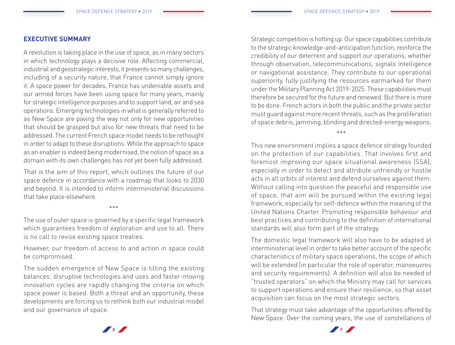#### **EXECUTIVE SUMMARY**

A revolution is taking place in the use of space, as in many sectors in which technology plays a decisive role. Affecting commercial, industrial and geostrategic interests, it presents so many challenges, including of a security nature, that France cannot simply ignore it. A space power for decades, France has undeniable assets and our armed forces have been using space for many years, mainly for strategic intelligence purposes and to support land, air and sea operations. Emerging technologies in what is generally referred to as New Space are paving the way not only for new opportunities that should be grasped but also for new threats that need to be addressed. The current French space model needs to be rethought in order to adapt to these disruptions. While the approach to space as an enabler is indeed being modernised, the notion of space as a domain with its own challenges has not yet been fully addressed.

That is the aim of this report, which outlines the future of our space defence in accordance with a roadmap that looks to 2030 and beyond. It is intended to inform interministerial discussions that take place elsewhere.

\*\*\*

The use of outer space is governed by a specific legal framework which guarantees freedom of exploration and use to all. There is no call to revise existing space treaties.

However, our freedom of access to and action in space could be compromised.

The sudden emergence of New Space is tilting the existing balances: disruptive technologies and uses and faster-moving innovation cycles are rapidly changing the criteria on which space power is based. Both a threat and an opportunity, these developments are forcing us to rethink both our industrial model and our governance of space.

Strategic competition is hotting up. Our space capabilities contribute to the strategic knowledge-and-anticipation function, reinforce the credibility of our deterrent and support our operations, whether through observation, telecommunications, signals intelligence or navigational assistance. They contribute to our operational superiority, fully justifying the resources earmarked for them under the Military Planning Act 2019-2025. These capabilities must therefore be secured for the future and renewed. But there is more to be done: French actors in both the public and the private sector must guard against more recent threats, such as the proliferation of space debris, jamming, blinding and directed-energy weapons.

\*\*\*

This new environment implies a space defence strategy founded on the protection of our capabilities. That involves first and foremost improving our space situational awareness (SSA), especially in order to detect and attribute unfriendly or hostile acts in all orbits of interest and defend ourselves against them. Without calling into question the peaceful and responsible use of space, that aim will be pursued within the existing legal framework, especially for self-defence within the meaning of the United Nations Charter. Promoting responsible behaviour and best practices and contributing to the definition of international standards will also form part of the strategy.

The domestic legal framework will also have to be adapted at interministerial level in order to take better account of the specific characteristics of military space operations, the scope of which will be extended (in particular the role of operator, manoeuvres and security requirements). A definition will also be needed of "trusted operators" on which the Ministry may call for services to support operations and ensure their resilience, so that asset acquisition can focus on the most strategic sectors.

That strategy must take advantage of the opportunities offered by New Space. Over the coming years, the use of constellations of



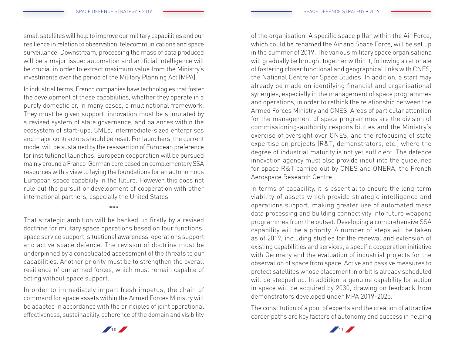small satellites will help to improve our military capabilities and our resilience in relation to observation, telecommunications and space surveillance. Downstream, processing the mass of data produced will be a major issue: automation and artificial intelligence will be crucial in order to extract maximum value from the Ministry's investments over the period of the Military Planning Act (MPA).

In industrial terms, French companies have technologies that foster the development of these capabilities, whether they operate in a purely domestic or, in many cases, a multinational framework. They must be given support: innovation must be stimulated by a revised system of state governance, and balances within the ecosystem of start-ups, SMEs, intermediate-sized enterprises and major contractors should be reset. For launchers, the current model will be sustained by the reassertion of European preference for institutional launches. European cooperation will be pursued mainly around a Franco-German core based on complementary SSA resources with a view to laying the foundations for an autonomous European space capability in the future. However, this does not rule out the pursuit or development of cooperation with other international partners, especially the United States.

\*\*\*

That strategic ambition will be backed up firstly by a revised doctrine for military space operations based on four functions: space service support, situational awareness, operations support and active space defence. The revision of doctrine must be underpinned by a consolidated assessment of the threats to our capabilities. Another priority must be to strengthen the overall resilience of our armed forces, which must remain capable of acting without space support.

In order to immediately impart fresh impetus, the chain of command for space assets within the Armed Forces Ministry will be adapted in accordance with the principles of joint operational effectiveness, sustainability, coherence of the domain and visibility

of the organisation. A specific space pillar within the Air Force, which could be renamed the Air and Space Force, will be set up in the summer of 2019. The various military space organisations will gradually be brought together within it, following a rationale of fostering closer functional and geographical links with CNES, the National Centre for Space Studies. In addition, a start may already be made on identifying financial and organisational synergies, especially in the management of space programmes and operations, in order to rethink the relationship between the Armed Forces Ministry and CNES. Areas of particular attention for the management of space programmes are the division of commissioning-authority responsibilities and the Ministry's exercise of oversight over CNES, and the refocusing of state expertise on projects (R&T, demonstrators, etc.) where the degree of industrial maturity is not yet sufficient. The defence innovation agency must also provide input into the guidelines for space R&T carried out by CNES and ONERA, the French Aerospace Research Centre.

In terms of capability, it is essential to ensure the long-term viability of assets which provide strategic intelligence and operations support, making greater use of automated mass data processing and building connectivity into future weapons programmes from the outset. Developing a comprehensive SSA capability will be a priority. A number of steps will be taken as of 2019, including studies for the renewal and extension of existing capabilities and services, a specific cooperation initiative with Germany and the evaluation of industrial projects for the observation of space from space. Active and passive measures to protect satellites whose placement in orbit is already scheduled will be stepped up. In addition, a genuine capability for action in space will be acquired by 2030, drawing on feedback from demonstrators developed under MPA 2019-2025.

The constitution of a pool of experts and the creation of attractive career paths are key factors of autonomy and success in helping



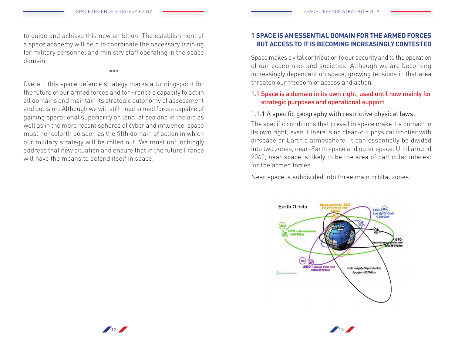to guide and achieve this new ambition. The establishment of a space academy will help to coordinate the necessary training for military personnel and ministry staff operating in the space domain.

\*\*\*

Overall, this space defence strategy marks a turning-point for the future of our armed forces and for France's capacity to act in all domains and maintain its strategic autonomy of assessment and decision. Although we will still need armed forces capable of gaining operational superiority on land, at sea and in the air, as well as in the more recent spheres of cyber and influence, space must henceforth be seen as the fifth domain of action in which our military strategy will be rolled out. We must unflinchingly address that new situation and ensure that in the future France will have the means to defend itself in space.

# **1 SPACE IS AN ESSENTIAL DOMAIN FOR THE ARMED FORCES BUT ACCESS TO IT IS BECOMING INCREASINGLY CONTESTED**

Space makes a vital contribution to our security and to the operation of our economies and societies. Although we are becoming increasingly dependent on space, growing tensions in that area threaten our freedom of access and action.

# 1.1 Space is a domain in its own right, used until now mainly for strategic purposes and operational support

# 1.1.1 A specific geography with restrictive physical laws.

The specific conditions that prevail in space make it a domain in its own right, even if there is no clear-cut physical frontier with airspace or Earth's atmosphere. It can essentially be divided into two zones, near-Earth space and outer space. Until around 2040, near space is likely to be the area of particular interest for the armed forces.

Near space is subdivided into three main orbital zones:



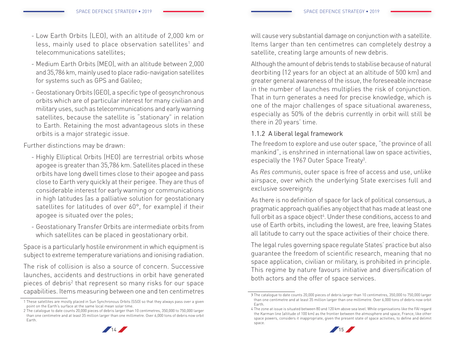- Low Earth Orbits (LEO), with an altitude of 2,000 km or less, mainly used to place observation satellites<sup>1</sup> and telecommunications satellites;
- Medium Earth Orbits (MEO), with an altitude between 2,000 and 35,786 km, mainly used to place radio-navigation satellites for systems such as GPS and Galileo;
- Geostationary Orbits (GEO), a specific type of geosynchronous orbits which are of particular interest for many civilian and military uses, such as telecommunications and early warning satellites, because the satellite is "stationary" in relation to Earth. Retaining the most advantageous slots in these orbits is a major strategic issue.

Further distinctions may be drawn:

- Highly Elliptical Orbits (HEO) are terrestrial orbits whose apogee is greater than 35,786 km. Satellites placed in these orbits have long dwell times close to their apogee and pass close to Earth very quickly at their perigee. They are thus of considerable interest for early warning or communications in high latitudes (as a palliative solution for geostationary satellites for latitudes of over 60°, for example) if their apogee is situated over the poles;
- Geostationary Transfer Orbits are intermediate orbits from which satellites can be placed in geostationary orbit.

Space is a particularly hostile environment in which equipment is subject to extreme temperature variations and ionising radiation.

The risk of collision is also a source of concern. Successive launches, accidents and destructions in orbit have generated pieces of debris<sup>2</sup> that represent so many risks for our space capabilities. Items measuring between one and ten centimetres

will cause very substantial damage on conjunction with a satellite. Items larger than ten centimetres can completely destroy a satellite, creating large amounts of new debris.

Although the amount of debris tends to stabilise because of natural deorbiting (12 years for an object at an altitude of 500 km) and greater general awareness of the issue, the foreseeable increase in the number of launches multiplies the risk of conjunction. That in turn generates a need for precise knowledge, which is one of the major challenges of space situational awareness, especially as 50% of the debris currently in orbit will still be there in 20 years' time.

# 1.1.2 A liberal legal framework

The freedom to explore and use outer space, "the province of all mankind", is enshrined in international law on space activities, especially the 1967 Outer Space Treaty<sup>3</sup>.

As *Res communis*, outer space is free of access and use, unlike airspace, over which the underlying State exercises full and exclusive sovereignty.

As there is no definition of space for lack of political consensus, a pragmatic approach qualifies any object that has made at least one full orbit as a space object<sup>4</sup>. Under these conditions, access to and use of Earth orbits, including the lowest, are free, leaving States all latitude to carry out the space activities of their choice there.

The legal rules governing space regulate States' practice but also guarantee the freedom of scientific research, meaning that no space application, civilian or military, is prohibited in principle. This regime by nature favours initiative and diversification of both actors and the offer of space services.

<sup>4</sup> The zone at issue is situated between 80 and 120 km above sea level. While organisations like the FAI regard the Karman line (altitude of 100 km) as the frontier between the atmosphere and space, France, like other space powers, considers it inappropriate, given the present state of space activities, to define and delimit space.





<sup>1</sup> These satellites are mostly placed in Sun Synchronous Orbits (SSO) so that they always pass over a given point on the Earth's surface at the same local mean solar time.

<sup>2</sup> The catalogue to date counts 20,000 pieces of debris larger than 10 centimetres, 350,000 to 750,000 larger than one centimetre and at least 35 million larger than one millimetre. Over 6,000 tons of debris now orbit Earth.

<sup>3</sup> The catalogue to date counts 20,000 pieces of debris larger than 10 centimetres, 350,000 to 750,000 larger than one centimetre and at least 35 million larger than one millimetre. Over 6,000 tons of debris now orbit Earth.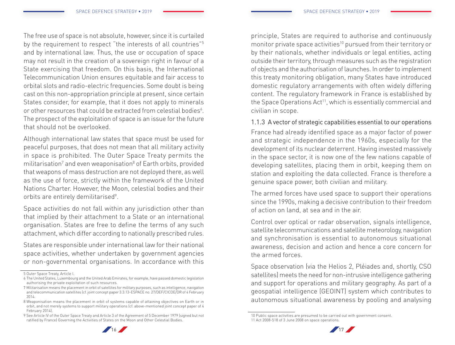The free use of space is not absolute, however, since it is curtailed by the requirement to respect "the interests of all countries"5 and by international law. Thus, the use or occupation of space may not result in the creation of a sovereign right in favour of a State exercising that freedom. On this basis, the International Telecommunication Union ensures equitable and fair access to orbital slots and radio-electric frequencies. Some doubt is being cast on this non-appropriation principle at present, since certain States consider, for example, that it does not apply to minerals or other resources that could be extracted from celestial bodies $^6$ . The prospect of the exploitation of space is an issue for the future that should not be overlooked.

Although international law states that space must be used for peaceful purposes, that does not mean that all military activity in space is prohibited. The Outer Space Treaty permits the militarisation<sup>7</sup> and even weaponisation<sup>8</sup> of Earth orbits, provided that weapons of mass destruction are not deployed there, as well as the use of force, strictly within the framework of the United Nations Charter. However, the Moon, celestial bodies and their orbits are entirely demilitarised<sup>9</sup>.

Space activities do not fall within any jurisdiction other than that implied by their attachment to a State or an international organisation. States are free to define the terms of any such attachment, which differ according to nationally prescribed rules.

States are responsible under international law for their national space activities, whether undertaken by government agencies or non-governmental organisations. In accordance with this

principle, States are required to authorise and continuously monitor private space activities<sup>10</sup> pursued from their territory or by their nationals, whether individuals or legal entities, acting outside their territory, through measures such as the registration of objects and the authorisation of launches. In order to implement this treaty monitoring obligation, many States have introduced domestic regulatory arrangements with often widely differing content. The regulatory framework in France is established by the Space Operations Act<sup>11</sup>, which is essentially commercial and civilian in scope.

#### 1.1.3 A vector of strategic capabilities essential to our operations

France had already identified space as a major factor of power and strategic independence in the 1960s, especially for the development of its nuclear deterrent. Having invested massively in the space sector, it is now one of the few nations capable of developing satellites, placing them in orbit, keeping them on station and exploiting the data collected. France is therefore a genuine space power, both civilian and military.

The armed forces have used space to support their operations since the 1990s, making a decisive contribution to their freedom of action on land, at sea and in the air.

Control over optical or radar observation, signals intelligence, satellite telecommunications and satellite meteorology, navigation and synchronisation is essential to autonomous situational awareness, decision and action and hence a core concern for the armed forces.

Space observation (via the Helios 2, Pléiades and, shortly, CSO satellites) meets the need for non-intrusive intelligence gathering and support for operations and military geography. As part of a geospatial intelligence (GEOINT) system which contributes to autonomous situational awareness by pooling and analysing

<sup>10</sup> Public space activities are presumed to be carried out with government consent. 11 Act 2008-518 of 3 June 2008 on space operations.



<sup>5</sup> Outer Space Treaty, Article I.

<sup>6</sup> The United States, Luxembourg and the United Arab Emirates, for example, have passed domestic legislation authorising the private exploitation of such resources.

<sup>7</sup> Militarisation means the placement in orbit of satellites for military purposes, such as intelligence, navigation and telecommunication satellites (cf. joint concept paper 3.3.13-ESPACE no. 27/DEF/CICDE/DR of 4 February 2014.

<sup>8</sup> Weaponisation means the placement in orbit of systems capable of attaining objectives on Earth or in orbit, and not merely systems to support military operations (cf. above-mentioned joint concept paper of 4 February 2014).

<sup>9</sup> See Article IV of the Outer Space Treaty and Article 3 of the Agreement of 5 December 1979 (signed but not ratified by France) Governing the Activities of States on the Moon and Other Celestial Bodies.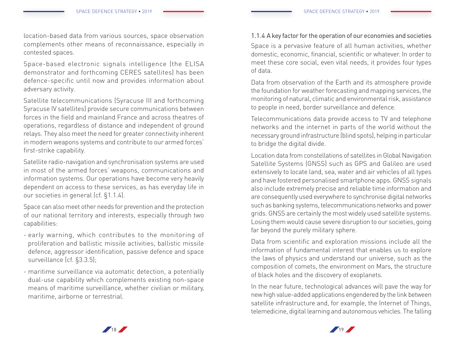location-based data from various sources, space observation complements other means of reconnaissance, especially in contested spaces.

Space-based electronic signals intelligence (the ELISA demonstrator and forthcoming CERES satellites) has been defence-specific until now and provides information about adversary activity.

Satellite telecommunications (Syracuse III and forthcoming Syracuse IV satellites) provide secure communications between forces in the field and mainland France and across theatres of operations, regardless of distance and independent of ground relays. They also meet the need for greater connectivity inherent in modern weapons systems and contribute to our armed forces' first-strike capability.

Satellite radio-navigation and synchronisation systems are used in most of the armed forces' weapons, communications and information systems. Our operations have become very heavily dependent on access to these services, as has everyday life in our societies in general (cf. §1.1.4).

Space can also meet other needs for prevention and the protection of our national territory and interests, especially through two capabilities:

- early warning, which contributes to the monitoring of proliferation and ballistic missile activities, ballistic missile defence, aggressor identification, passive defence and space surveillance (cf. §3.3.5);
- maritime surveillance via automatic detection, a potentially dual-use capability which complements existing non-space means of maritime surveillance, whether civilian or military, maritime, airborne or terrestrial.

# 1.1.4 A key factor for the operation of our economies and societies

Space is a pervasive feature of all human activities, whether domestic, economic, financial, scientific or whatever. In order to meet these core social, even vital needs, it provides four types of data.

Data from observation of the Earth and its atmosphere provide the foundation for weather forecasting and mapping services, the monitoring of natural, climatic and environmental risk, assistance to people in need, border surveillance and defence.

Telecommunications data provide access to TV and telephone networks and the internet in parts of the world without the necessary ground infrastructure (blind spots), helping in particular to bridge the digital divide.

Location data from constellations of satellites in Global Navigation Satellite Systems (GNSS) such as GPS and Galileo are used extensively to locate land, sea, water and air vehicles of all types and have fostered personalised smartphone apps. GNSS signals also include extremely precise and reliable time information and are consequently used everywhere to synchronise digital networks such as banking systems, telecommunications networks and power grids. GNSS are certainly the most widely used satellite systems. Losing them would cause severe disruption to our societies, going far beyond the purely military sphere.

Data from scientific and exploration missions include all the information of fundamental interest that enables us to explore the laws of physics and understand our universe, such as the composition of comets, the environment on Mars, the structure of black holes and the discovery of exoplanets.

In the near future, technological advances will pave the way for new high value-added applications engendered by the link between satellite infrastructure and, for example, the Internet of Things, telemedicine, digital learning and autonomous vehicles. The falling



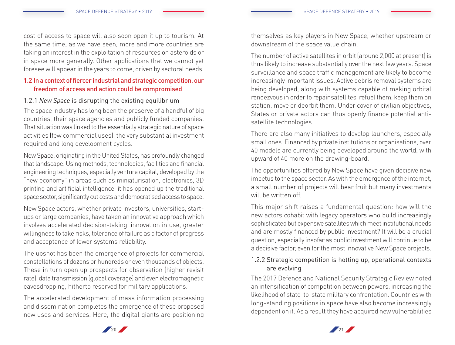cost of access to space will also soon open it up to tourism. At the same time, as we have seen, more and more countries are taking an interest in the exploitation of resources on asteroids or in space more generally. Other applications that we cannot yet foresee will appear in the years to come, driven by sectoral needs.

# 1.2 In a context of fiercer industrial and strategic competition, our freedom of access and action could be compromised

# 1.2.1 *New Space* is disrupting the existing equilibrium

The space industry has long been the preserve of a handful of big countries, their space agencies and publicly funded companies. That situation was linked to the essentially strategic nature of space activities (few commercial uses), the very substantial investment required and long development cycles.

New Space, originating in the United States, has profoundly changed that landscape. Using methods, technologies, facilities and financial engineering techniques, especially venture capital, developed by the "new economy" in areas such as miniaturisation, electronics, 3D printing and artificial intelligence, it has opened up the traditional space sector, significantly cut costs and democratised access to space.

New Space actors, whether private investors, universities, startups or large companies, have taken an innovative approach which involves accelerated decision-taking, innovation in use, greater willingness to take risks, tolerance of failure as a factor of progress and acceptance of lower systems reliability.

The upshot has been the emergence of projects for commercial constellations of dozens or hundreds or even thousands of objects. These in turn open up prospects for observation (higher revisit rate), data transmission (global coverage) and even electromagnetic eavesdropping, hitherto reserved for military applications.

The accelerated development of mass information processing and dissemination completes the emergence of these proposed new uses and services. Here, the digital giants are positioning themselves as key players in New Space, whether upstream or downstream of the space value chain.

The number of active satellites in orbit (around 2,000 at present) is thus likely to increase substantially over the next few years. Space surveillance and space traffic management are likely to become increasingly important issues. Active debris removal systems are being developed, along with systems capable of making orbital rendezvous in order to repair satellites, refuel them, keep them on station, move or deorbit them. Under cover of civilian objectives, States or private actors can thus openly finance potential antisatellite technologies.

There are also many initiatives to develop launchers, especially small ones. Financed by private institutions or organisations, over 40 models are currently being developed around the world, with upward of 40 more on the drawing-board.

The opportunities offered by New Space have given decisive new impetus to the space sector. As with the emergence of the internet, a small number of projects will bear fruit but many investments will be written off.

This major shift raises a fundamental question: how will the new actors cohabit with legacy operators who build increasingly sophisticated but expensive satellites which meet institutional needs and are mostly financed by public investment? It will be a crucial question, especially insofar as public investment will continue to be a decisive factor, even for the most innovative New Space projects.

# 1.2.2 Strategic competition is hotting up, operational contexts are evolving

The 2017 Defence and National Security Strategic Review noted an intensification of competition between powers, increasing the likelihood of state-to-state military confrontation. Countries with long-standing positions in space have also become increasingly dependent on it. As a result they have acquired new vulnerabilities



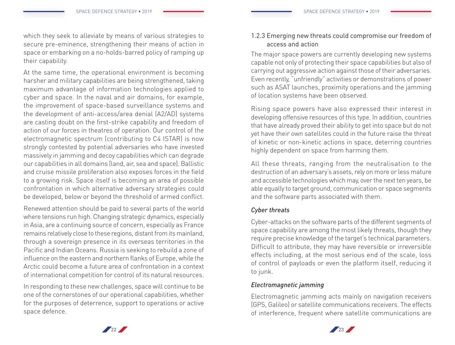which they seek to alleviate by means of various strategies to secure pre-eminence, strengthening their means of action in space or embarking on a no-holds-barred policy of ramping up their capability.

At the same time, the operational environment is becoming harsher and military capabilities are being strengthened, taking maximum advantage of information technologies applied to cyber and space. In the naval and air domains, for example, the improvement of space-based surveillance systems and the development of anti-access/area denial (A2/AD) systems are casting doubt on the first-strike capability and freedom of action of our forces in theatres of operation. Our control of the electromagnetic spectrum (contributing to C4 ISTAR) is now strongly contested by potential adversaries who have invested massively in jamming and decoy capabilities which can degrade our capabilities in all domains (land, air, sea and space). Ballistic and cruise missile proliferation also exposes forces in the field to a growing risk. Space itself is becoming an area of possible confrontation in which alternative adversary strategies could be developed, below or beyond the threshold of armed conflict.

Renewed attention should be paid to several parts of the world where tensions run high. Changing strategic dynamics, especially in Asia, are a continuing source of concern, especially as France remains relatively close to these regions, distant from its mainland, through a sovereign presence in its overseas territories in the Pacific and Indian Oceans. Russia is seeking to rebuild a zone of influence on the eastern and northern flanks of Europe, while the Arctic could become a future area of confrontation in a context of international competition for control of its natural resources.

In responding to these new challenges, space will continue to be one of the cornerstones of our operational capabilities, whether for the purposes of deterrence, support to operations or active space defence.

# 1.2.3 Emerging new threats could compromise our freedom of access and action

The major space powers are currently developing new systems capable not only of protecting their space capabilities but also of carrying out aggressive action against those of their adversaries. Even recently, "unfriendly" activities or demonstrations of power such as ASAT launches, proximity operations and the jamming of location systems have been observed.

Rising space powers have also expressed their interest in developing offensive resources of this type. In addition, countries that have already proved their ability to get into space but do not yet have their own satellites could in the future raise the threat of kinetic or non-kinetic actions in space, deterring countries highly dependent on space from harming them.

All these threats, ranging from the neutralisation to the destruction of an adversary's assets, rely on more or less mature and accessible technologies which may, over the next ten years, be able equally to target ground, communication or space segments and the software parts associated with them.

# *Cyber threats*

Cyber-attacks on the software parts of the different segments of space capability are among the most likely threats, though they require precise knowledge of the target's technical parameters. Difficult to attribute, they may have reversible or irreversible effects including, at the most serious end of the scale, loss of control of payloads or even the platform itself, reducing it to junk.

# *Electromagnetic jamming*

Electromagnetic jamming acts mainly on navigation receivers (GPS, Galileo) or satellite communications receivers. The effects of interference, frequent where satellite communications are



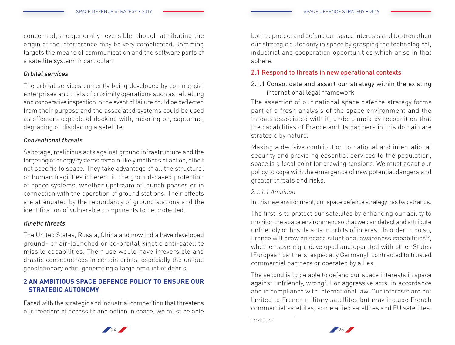concerned, are generally reversible, though attributing the origin of the interference may be very complicated. Jamming targets the means of communication and the software parts of a satellite system in particular.

#### *Orbital services*

The orbital services currently being developed by commercial enterprises and trials of proximity operations such as refuelling and cooperative inspection in the event of failure could be deflected from their purpose and the associated systems could be used as effectors capable of docking with, mooring on, capturing, degrading or displacing a satellite.

# *Conventional threats*

Sabotage, malicious acts against ground infrastructure and the targeting of energy systems remain likely methods of action, albeit not specific to space. They take advantage of all the structural or human fragilities inherent in the ground-based protection of space systems, whether upstream of launch phases or in connection with the operation of ground stations. Their effects are attenuated by the redundancy of ground stations and the identification of vulnerable components to be protected.

#### *Kinetic threats*

The United States, Russia, China and now India have developed ground- or air-launched or co-orbital kinetic anti-satellite missile capabilities. Their use would have irreversible and drastic consequences in certain orbits, especially the unique geostationary orbit, generating a large amount of debris.

# **2 AN AMBITIOUS SPACE DEFENCE POLICY TO ENSURE OUR STRATEGIC AUTONOMY**

Faced with the strategic and industrial competition that threatens our freedom of access to and action in space, we must be able both to protect and defend our space interests and to strengthen our strategic autonomy in space by grasping the technological, industrial and cooperation opportunities which arise in that sphere.

# 2.1 Respond to threats in new operational contexts

# 2.1.1 Consolidate and assert our strategy within the existing international legal framework

The assertion of our national space defence strategy forms part of a fresh analysis of the space environment and the threats associated with it, underpinned by recognition that the capabilities of France and its partners in this domain are strategic by nature.

Making a decisive contribution to national and international security and providing essential services to the population, space is a focal point for growing tensions. We must adapt our policy to cope with the emergence of new potential dangers and greater threats and risks.

#### *2.1.1.1 Ambition*

In this new environment, our space defence strategy has two strands.

The first is to protect our satellites by enhancing our ability to monitor the space environment so that we can detect and attribute unfriendly or hostile acts in orbits of interest. In order to do so, France will draw on space situational awareness capabilities<sup>12</sup>. whether sovereign, developed and operated with other States (European partners, especially Germany), contracted to trusted commercial partners or operated by allies.

The second is to be able to defend our space interests in space against unfriendly, wrongful or aggressive acts, in accordance and in compliance with international law. Our interests are not limited to French military satellites but may include French commercial satellites, some allied satellites and EU satellites.

<sup>12</sup> See §3.4.2.



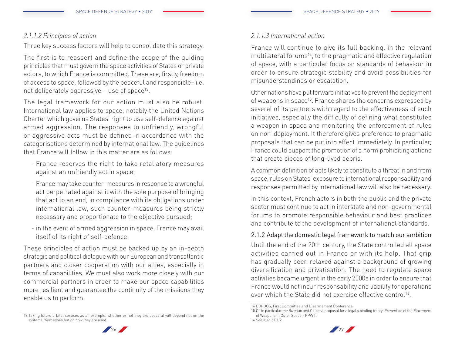#### *2.1.1.2 Principles of action*

Three key success factors will help to consolidate this strategy.

The first is to reassert and define the scope of the guiding principles that must govern the space activities of States or private actors, to which France is committed. These are, firstly, freedom of access to space, followed by the peaceful and responsible– i.e. not deliberately aggressive  $-$  use of space<sup>13</sup>.

The legal framework for our action must also be robust. International law applies to space, notably the United Nations Charter which governs States' right to use self-defence against armed aggression. The responses to unfriendly, wrongful or aggressive acts must be defined in accordance with the categorisations determined by international law. The guidelines that France will follow in this matter are as follows:

- France reserves the right to take retaliatory measures against an unfriendly act in space;
- France may take counter-measures in response to a wrongful act perpetrated against it with the sole purpose of bringing that act to an end, in compliance with its obligations under international law, such counter-measures being strictly necessary and proportionate to the objective pursued;
- in the event of armed aggression in space, France may avail itself of its right of self-defence.

These principles of action must be backed up by an in-depth strategic and political dialogue with our European and transatlantic partners and closer cooperation with our allies, especially in terms of capabilities. We must also work more closely with our commercial partners in order to make our space capabilities more resilient and guarantee the continuity of the missions they enable us to perform.

# *2.1.1.3 International action*

France will continue to give its full backing, in the relevant multilateral forums<sup>14</sup>, to the pragmatic and effective regulation of space, with a particular focus on standards of behaviour in order to ensure strategic stability and avoid possibilities for misunderstandings or escalation.

Other nations have put forward initiatives to prevent the deployment of weapons in space<sup>15</sup>. France shares the concerns expressed by several of its partners with regard to the effectiveness of such initiatives, especially the difficulty of defining what constitutes a weapon in space and monitoring the enforcement of rules on non-deployment. It therefore gives preference to pragmatic proposals that can be put into effect immediately. In particular, France could support the promotion of a norm prohibiting actions that create pieces of long-lived debris.

A common definition of acts likely to constitute a threat in and from space, rules on States' exposure to international responsability and responses permitted by international law will also be necessary.

In this context, French actors in both the public and the private sector must continue to act in interstate and non-governmental forums to promote responsible behaviour and best practices and contribute to the development of international standards.

# 2.1.2 Adapt the domestic legal framework to match our ambition

Until the end of the 20th century, the State controlled all space activities carried out in France or with its help. That grip has gradually been relaxed against a background of growing diversification and privatisation. The need to regulate space activities became urgent in the early 2000s in order to ensure that France would not incur responsability and liability for operations over which the State did not exercise effective control<sup>16</sup>

<sup>15</sup> Cf. in particular the Russian and Chinese proposal for a legally binding treaty (Prevention of the Placement of Weapons in Outer Space - PPWT). 16 See also §1.1.2.





<sup>13</sup> Taking future orbital services as an example, whether or not they are peaceful will depend not on the systems themselves but on how they are used.

<sup>14</sup> COPUOS, First Committee and Disarmament Conference.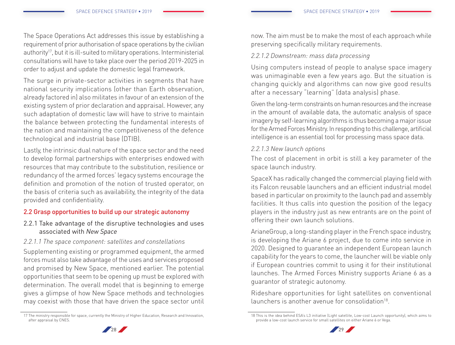The Space Operations Act addresses this issue by establishing a requirement of prior authorisation of space operations by the civilian authority<sup>17</sup>, but it is ill-suited to military operations. Interministerial consultations will have to take place over the period 2019-2025 in order to adjust and update the domestic legal framework.

The surge in private-sector activities in segments that have national security implications (other than Earth observation, already factored in) also militates in favour of an extension of the existing system of prior declaration and appraisal. However, any such adaptation of domestic law will have to strive to maintain the balance between protecting the fundamental interests of the nation and maintaining the competitiveness of the defence technological and industrial base (DTIB).

Lastly, the intrinsic dual nature of the space sector and the need to develop formal partnerships with enterprises endowed with resources that may contribute to the substitution, resilience or redundancy of the armed forces' legacy systems encourage the definition and promotion of the notion of trusted operator, on the basis of criteria such as availability, the integrity of the data provided and confidentiality.

# 2.2 Grasp opportunities to build up our strategic autonomy

# 2.2.1 Take advantage of the disruptive technologies and uses associated with *New Space*

# *2.2.1.1 The space component: satellites and constellations*

Supplementing existing or programmed equipment, the armed forces must also take advantage of the uses and services proposed and promised by New Space, mentioned earlier. The potential opportunities that seem to be opening up must be explored with determination. The overall model that is beginning to emerge gives a glimpse of how New Space methods and technologies may coexist with those that have driven the space sector until now. The aim must be to make the most of each approach while preserving specifically military requirements.

# *2.2.1.2 Downstream: mass data processing*

Using computers instead of people to analyse space imagery was unimaginable even a few years ago. But the situation is changing quickly and algorithms can now give good results after a necessary "learning" (data analysis) phase.

Given the long-term constraints on human resources and the increase in the amount of available data, the automatic analysis of space imagery by self-learning algorithms is thus becoming a major issue for the Armed Forces Ministry. In responding to this challenge, artificial intelligence is an essential tool for processing mass space data.

# *2.2.1.3 New launch options*

The cost of placement in orbit is still a key parameter of the space launch industry.

SpaceX has radically changed the commercial playing field with its Falcon reusable launchers and an efficient industrial model based in particular on proximity to the launch pad and assembly facilities. It thus calls into question the position of the legacy players in the industry just as new entrants are on the point of offering their own launch solutions.

ArianeGroup, a long-standing player in the French space industry, is developing the Ariane 6 project, due to come into service in 2020. Designed to guarantee an independent European launch capability for the years to come, the launcher will be viable only if European countries commit to using it for their institutional launches. The Armed Forces Ministry supports Ariane 6 as a guarantor of strategic autonomy.

Rideshare opportunities for light satellites on conventional  $l$ aunchers is another avenue for consolidation $18$ .

<sup>18</sup> This is the idea behind ESA's L3 initiative (Light satellite, Low-cost Launch opportunity), which aims to provide a low-cost launch service for small satellites on either Ariane 6 or Vega.





<sup>17</sup> The ministry responsible for space, currently the Ministry of Higher Education, Research and Innovation, after appraisal by CNES.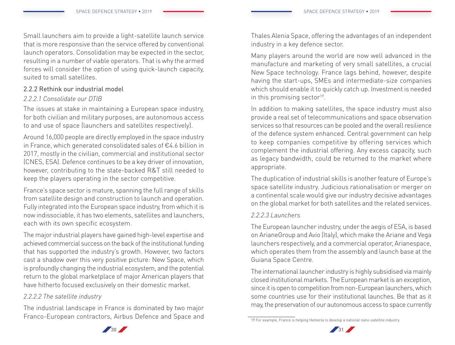Small launchers aim to provide a light-satellite launch service that is more responsive than the service offered by conventional launch operators. Consolidation may be expected in the sector, resulting in a number of viable operators. That is why the armed forces will consider the option of using quick-launch capacity, suited to small satellites.

# 2.2.2 Rethink our industrial model

# *2.2.2.1 Consolidate our DTIB*

The issues at stake in maintaining a European space industry, for both civilian and military purposes, are autonomous access to and use of space (launchers and satellites respectively).

Around 16,000 people are directly employed in the space industry in France, which generated consolidated sales of €4.6 billion in 2017, mostly in the civilian, commercial and institutional sector (CNES, ESA). Defence continues to be a key driver of innovation, however, contributing to the state-backed R&T still needed to keep the players operating in the sector competitive.

France's space sector is mature, spanning the full range of skills from satellite design and construction to launch and operation. Fully integrated into the European space industry, from which it is now indissociable, it has two elements, satellites and launchers, each with its own specific ecosystem.

The major industrial players have gained high-level expertise and achieved commercial success on the back of the institutional funding that has supported the industry's growth. However, two factors cast a shadow over this very positive picture: New Space, which is profoundly changing the industrial ecosystem, and the potential return to the global marketplace of major American players that have hitherto focused exclusively on their domestic market.

# *2.2.2.2 The satellite industry*

The industrial landscape in France is dominated by two major Franco-European contractors, Airbus Defence and Space and

Thales Alenia Space, offering the advantages of an independent industry in a key defence sector.

Many players around the world are now well advanced in the manufacture and marketing of very small satellites, a crucial New Space technology. France lags behind, however, despite having the start-ups, SMEs and intermediate-size companies which should enable it to quickly catch up. Investment is needed in this promising sector<sup>19</sup>.

In addition to making satellites, the space industry must also provide a real set of telecommunications and space observation services so that resources can be pooled and the overall resilience of the defence system enhanced. Central government can help to keep companies competitive by offering services which complement the industrial offering. Any excess capacity, such as legacy bandwidth, could be returned to the market where appropriate.

The duplication of industrial skills is another feature of Europe's space satellite industry. Judicious rationalisation or merger on a continental scale would give our industry decisive advantages on the global market for both satellites and the related services.

# *2.2.2.3 Launchers*

The European launcher industry, under the aegis of ESA, is based on ArianeGroup and Avio (Italy), which make the Ariane and Vega launchers respectively, and a commercial operator, Arianespace, which operates them from the assembly and launch base at the Guiana Space Centre.

The international launcher industry is highly subsidised via mainly closed institutional markets. The European market is an exception, since it is open to competition from non-European launchers, which some countries use for their institutional launches. Be that as it may, the preservation of our autonomous access to space currently

<sup>19</sup> For example, France is helping Hemeria to develop a national nano-satellite industry.



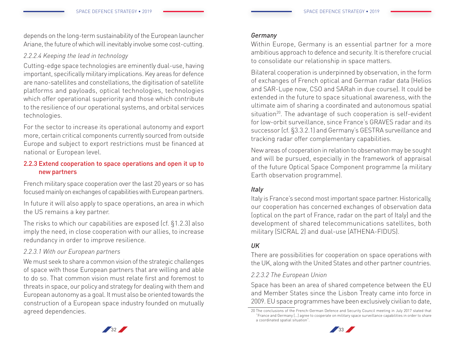depends on the long-term sustainability of the European launcher Ariane, the future of which will inevitably involve some cost-cutting.

# *2.2.2.4 Keeping the lead in technology*

Cutting-edge space technologies are eminently dual-use, having important, specifically military implications. Key areas for defence are nano-satellites and constellations, the digitisation of satellite platforms and payloads, optical technologies, technologies which offer operational superiority and those which contribute to the resilience of our operational systems, and orbital services technologies.

For the sector to increase its operational autonomy and export more, certain critical components currently sourced from outside Europe and subject to export restrictions must be financed at national or European level.

# 2.2.3 Extend cooperation to space operations and open it up to new partners

French military space cooperation over the last 20 years or so has focused mainly on exchanges of capabilities with European partners.

In future it will also apply to space operations, an area in which the US remains a key partner.

The risks to which our capabilities are exposed (cf. §1.2.3) also imply the need, in close cooperation with our allies, to increase redundancy in order to improve resilience.

# *2.2.3.1 With our European partners*

We must seek to share a common vision of the strategic challenges of space with those European partners that are willing and able to do so. That common vision must relate first and foremost to threats in space, our policy and strategy for dealing with them and European autonomy as a goal. It must also be oriented towards the construction of a European space industry founded on mutually agreed dependencies.

#### *Germany*

Within Europe, Germany is an essential partner for a more ambitious approach to defence and security. It is therefore crucial to consolidate our relationship in space matters.

Bilateral cooperation is underpinned by observation, in the form of exchanges of French optical and German radar data (Helios and SAR-Lupe now, CSO and SARah in due course). It could be extended in the future to space situational awareness, with the ultimate aim of sharing a coordinated and autonomous spatial situation<sup>20</sup>. The advantage of such cooperation is self-evident for low-orbit surveillance, since France's GRAVES radar and its successor (cf. §3.3.2.1) and Germany's GESTRA surveillance and tracking radar offer complementary capabilities.

New areas of cooperation in relation to observation may be sought and will be pursued, especially in the framework of appraisal of the future Optical Space Component programme (a military Earth observation programme).

# *Italy*

Italy is France's second most important space partner. Historically, our cooperation has concerned exchanges of observation data (optical on the part of France, radar on the part of Italy) and the development of shared telecommunications satellites, both military (SICRAL 2) and dual-use (ATHENA-FIDUS).

# *UK*

There are possibilities for cooperation on space operations with the UK, along with the United States and other partner countries.

# *2.2.3.2 The European Union*

Space has been an area of shared competence between the EU and Member States since the Lisbon Treaty came into force in 2009. EU space programmes have been exclusively civilian to date,

<sup>20</sup> The conclusions of the French-German Defence and Security Council meeting in July 2017 stated that "France and Germany […] agree to cooperate on military space surveillance capabilities in order to share a coordinated spatial situation".



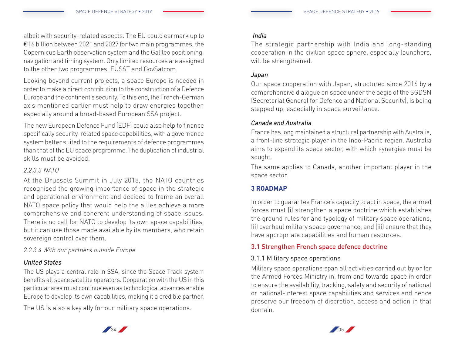albeit with security-related aspects. The EU could earmark up to €16 billion between 2021 and 2027 for two main programmes, the Copernicus Earth observation system and the Galileo positioning, navigation and timing system. Only limited resources are assigned to the other two programmes, EUSST and GovSatcom.

Looking beyond current projects, a space Europe is needed in order to make a direct contribution to the construction of a Defence Europe and the continent's security. To this end, the French-German axis mentioned earlier must help to draw energies together, especially around a broad-based European SSA project.

The new European Defence Fund (EDF) could also help to finance specifically security-related space capabilities, with a governance system better suited to the requirements of defence programmes than that of the EU space programme. The duplication of industrial skills must be avoided.

# *2.2.3.3 NATO*

At the Brussels Summit in July 2018, the NATO countries recognised the growing importance of space in the strategic and operational environment and decided to frame an overall NATO space policy that would help the allies achieve a more comprehensive and coherent understanding of space issues. There is no call for NATO to develop its own space capabilities, but it can use those made available by its members, who retain sovereign control over them.

*2.2.3.4 With our partners outside Europe* 

# *United States*

The US plays a central role in SSA, since the Space Track system benefits all space satellite operators. Cooperation with the US in this particular area must continue even as technological advances enable Europe to develop its own capabilities, making it a credible partner.

The US is also a key ally for our military space operations.

#### *India*

The strategic partnership with India and long-standing cooperation in the civilian space sphere, especially launchers, will be strengthened.

#### *Japan*

Our space cooperation with Japan, structured since 2016 by a comprehensive dialogue on space under the aegis of the SGDSN (Secretariat General for Defence and National Security), is being stepped up, especially in space surveillance.

# *Canada and Australia*

France has long maintained a structural partnership with Australia, a front-line strategic player in the Indo-Pacific region. Australia aims to expand its space sector, with which synergies must be sought.

The same applies to Canada, another important player in the space sector.

# **3 ROADMAP**

In order to guarantee France's capacity to act in space, the armed forces must (i) strengthen a space doctrine which establishes the ground rules for and typology of military space operations, (ii) overhaul military space governance, and (iii) ensure that they have appropriate capabilities and human resources.

# 3.1 Strengthen French space defence doctrine

# 3.1.1 Military space operations

Military space operations span all activities carried out by or for the Armed Forces Ministry in, from and towards space in order to ensure the availability, tracking, safety and security of national or national-interest space capabilities and services and hence preserve our freedom of discretion, access and action in that domain.



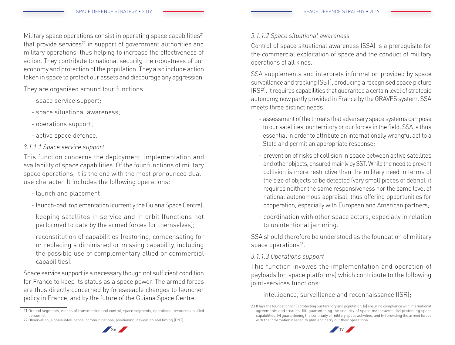Military space operations consist in operating space capabilities $21$ that provide services $^{22}$  in support of government authorities and military operations, thus helping to increase the effectiveness of action. They contribute to national security, the robustness of our economy and protection of the population. They also include action taken in space to protect our assets and discourage any aggression.

They are organised around four functions:

- space service support;
- space situational awareness;
- operations support;
- active space defence.
- *3.1.1.1 Space service support*

This function concerns the deployment, implementation and availability of space capabilities. Of the four functions of military space operations, it is the one with the most pronounced dualuse character. It includes the following operations:

- launch and placement;
- launch-pad implementation (currently the Guiana Space Centre);
- keeping satellites in service and in orbit (functions not performed to date by the armed forces for themselves);
- reconstitution of capabilities (restoring, compensating for or replacing a diminished or missing capability, including the possible use of complementary allied or commercial capabilities).

Space service support is a necessary though not sufficient condition for France to keep its status as a space power. The armed forces are thus directly concerned by foreseeable changes to launcher policy in France, and by the future of the Guiana Space Centre.

# *3.1.1.2 Space situational awareness*

Control of space situational awareness (SSA) is a prerequisite for the commercial exploitation of space and the conduct of military operations of all kinds.

SSA supplements and interprets information provided by space surveillance and tracking (SST), producing a recognised space picture (RSP). It requires capabilities that guarantee a certain level of strategic autonomy, now partly provided in France by the GRAVES system. SSA meets three distinct needs:

- assessment of the threats that adversary space systems can pose to our satellites, our territory or our forces in the field. SSA is thus essential in order to attribute an internationally wrongful act to a State and permit an appropriate response;
- prevention of risks of collision in space between active satellites and other objects, ensured mainly by SST. While the need to prevent collision is more restrictive than the military need in terms of the size of objects to be detected (very small pieces of debris), it requires neither the same responsiveness nor the same level of national autonomous appraisal, thus offering opportunities for cooperation, especially with European and American partners;
- coordination with other space actors, especially in relation to unintentional jamming.

SSA should therefore be understood as the foundation of military space operations $23$ .

# *3.1.1.3 Operations support*

This function involves the implementation and operation of payloads (on space platforms) which contribute to the following joint-services functions:

- intelligence, surveillance and reconnaissance (ISR);

<sup>23</sup> It lays the foundation for (i) protecting our territory and population, (ii) ensuring compliance with international agreements and treaties, (iii) guaranteeing the security of space manoeuvres, (iv) protecting space capabilities, (v) guaranteeing the continuity of military space activities, and (vi) providing the armed forces with the information needed to plan and carry out their operations.





<sup>21</sup> Ground segments, means of transmission and control, space segments, operational resources, skilled personnel.

<sup>22</sup> Observation, signals intelligence, communications, positioning, navigation and timing (PNT).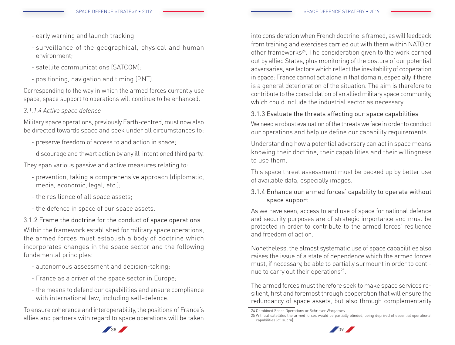- early warning and launch tracking;
- surveillance of the geographical, physical and human environment;
- satellite communications (SATCOM);
- positioning, navigation and timing (PNT).

Corresponding to the way in which the armed forces currently use space, space support to operations will continue to be enhanced.

# *3.1.1.4 Active space defence*

Military space operations, previously Earth-centred, must now also be directed towards space and seek under all circumstances to:

- preserve freedom of access to and action in space;
- discourage and thwart action by any ill-intentioned third party.

They span various passive and active measures relating to:

- prevention, taking a comprehensive approach (diplomatic, media, economic, legal, etc.);
- the resilience of all space assets;
- the defence in space of our space assets.

3.1.2 Frame the doctrine for the conduct of space operations Within the framework established for military space operations, the armed forces must establish a body of doctrine which incorporates changes in the space sector and the following fundamental principles:

- autonomous assessment and decision-taking;
- France as a driver of the space sector in Europe;
- the means to defend our capabilities and ensure compliance with international law, including self-defence.

To ensure coherence and interoperability, the positions of France's allies and partners with regard to space operations will be taken

into consideration when French doctrine is framed, as will feedback from training and exercises carried out with them within NATO or other frameworks<sup>24</sup>. The consideration given to the work carried out by allied States, plus monitoring of the posture of our potential adversaries, are factors which reflect the inevitability of cooperation in space: France cannot act alone in that domain, especially if there is a general deterioration of the situation. The aim is therefore to contribute to the consolidation of an allied military space community, which could include the industrial sector as necessary.

# 3.1.3 Evaluate the threats affecting our space capabilities

We need a robust evaluation of the threats we face in order to conduct our operations and help us define our capability requirements.

Understanding how a potential adversary can act in space means knowing their doctrine, their capabilities and their willingness to use them.

This space threat assessment must be backed up by better use of available data, especially images.

# 3.1.4 Enhance our armed forces' capability to operate without space support

As we have seen, access to and use of space for national defence and security purposes are of strategic importance and must be protected in order to contribute to the armed forces' resilience and freedom of action.

Nonetheless, the almost systematic use of space capabilities also raises the issue of a state of dependence which the armed forces must, if necessary, be able to partially surmount in order to continue to carry out their operations<sup>25</sup>.

The armed forces must therefore seek to make space services resilient, first and foremost through cooperation that will ensure the redundancy of space assets, but also through complementarity

<sup>25</sup> Without satellites the armed forces would be partially blinded, being deprived of essential operational capabilities (cf. supra).





<sup>24</sup> Combined Space Operations or Schriever Wargames.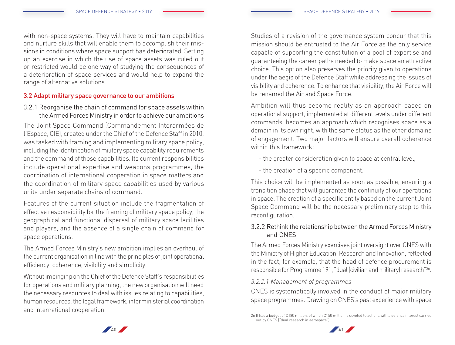with non-space systems. They will have to maintain capabilities and nurture skills that will enable them to accomplish their missions in conditions where space support has deteriorated. Setting up an exercise in which the use of space assets was ruled out or restricted would be one way of studying the consequences of a deterioration of space services and would help to expand the range of alternative solutions.

# 3.2 Adapt military space governance to our ambitions

3.2.1 Reorganise the chain of command for space assets within the Armed Forces Ministry in order to achieve our ambitions

The Joint Space Command (Commandement Interarmées de l'Espace, CIE), created under the Chief of the Defence Staff in 2010, was tasked with framing and implementing military space policy, including the identification of military space capability requirements and the command of those capabilities. Its current responsibilities include operational expertise and weapons programmes, the coordination of international cooperation in space matters and the coordination of military space capabilities used by various units under separate chains of command.

Features of the current situation include the fragmentation of effective responsibility for the framing of military space policy, the geographical and functional dispersal of military space facilities and players, and the absence of a single chain of command for space operations.

The Armed Forces Ministry's new ambition implies an overhaul of the current organisation in line with the principles of joint operational efficiency, coherence, visibility and simplicity.

Without impinging on the Chief of the Defence Staff's responsibilities for operations and military planning, the new organisation will need the necessary resources to deal with issues relating to capabilities, human resources, the legal framework, interministerial coordination and international cooperation.

Studies of a revision of the governance system concur that this mission should be entrusted to the Air Force as the only service capable of supporting the constitution of a pool of expertise and guaranteeing the career paths needed to make space an attractive choice. This option also preserves the priority given to operations under the aegis of the Defence Staff while addressing the issues of visibility and coherence. To enhance that visibility, the Air Force will be renamed the Air and Space Force.

Ambition will thus become reality as an approach based on operational support, implemented at different levels under different commands, becomes an approach which recognises space as a domain in its own right, with the same status as the other domains of engagement. Two major factors will ensure overall coherence within this framework:

- the greater consideration given to space at central level,
- the creation of a specific component.

This choice will be implemented as soon as possible, ensuring a transition phase that will guarantee the continuity of our operations in space. The creation of a specific entity based on the current Joint Space Command will be the necessary preliminary step to this reconfiguration.

# 3.2.2 Rethink the relationship between the Armed Forces Ministry and CNES

The Armed Forces Ministry exercises joint oversight over CNES with the Ministry of Higher Education, Research and Innovation, reflected in the fact, for example, that the head of defence procurement is responsible for Programme 191, "dual (civilian and military) research"26.

# *3.2.2.1 Management of programmes*

CNES is systematically involved in the conduct of major military space programmes. Drawing on CNES's past experience with space

<sup>26</sup> It has a budget of €180 million, of which €150 million is devoted to actions with a defence interest carried out by CNES ("dual research in aerospace").



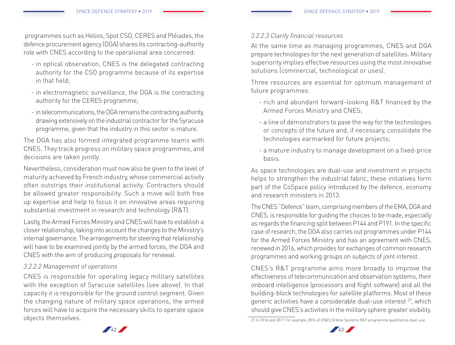programmes such as Helios, Spot CSO, CERES and Pléiades, the defence procurement agency (DGA) shares its contracting-authority role with CNES according to the operational area concerned:

- in optical observation, CNES is the delegated contracting authority for the CSO programme because of its expertise in that field;
- in electromagnetic surveillance, the DGA is the contracting authority for the CERES programme;
- in telecommunications, the DGA remains the contracting authority, drawing extensively on the industrial contractor for the Syracuse programme, given that the industry in this sector is mature.

The DGA has also formed integrated programme teams with CNES. They track progress on military space programmes, and decisions are taken jointly.

Nevertheless, consideration must now also be given to the level of maturity achieved by French industry, whose commercial activity often outstrips their institutional activity. Contractors should be allowed greater responsibility. Such a move will both free up expertise and help to focus it on innovative areas requiring substantial investment in research and technology (R&T).

Lastly, the Armed Forces Ministry and CNES will have to establish a closer relationship, taking into account the changes to the Ministry's internal governance. The arrangements for steering that relationship will have to be examined jointly by the armed forces, the DGA and CNES with the aim of producing proposals for renewal.

#### *3.2.2.2 Management of operations*

CNES is responsible for operating legacy military satellites with the exception of Syracuse satellites (see above). In that capacity it is responsible for the ground control segment. Given the changing nature of military space operations, the armed forces will have to acquire the necessary skills to operate space objects themselves.

#### *3.2.2.3 Clarify financial resources*

At the same time as managing programmes, CNES and DGA prepare technologies for the next generation of satellites. Military superiority implies effective resources using the most innovative solutions (commercial, technological or uses).

Three resources are essential for optimum management of future programmes:

- rich and abundant forward-looking R&T financed by the Armed Forces Ministry and CNES;
- a line of demonstrators to pave the way for the technologies or concepts of the future and, if necessary, consolidate the technologies earmarked for future projects;
- a mature industry to manage development on a fixed-price basis.

As space technologies are dual-use and investment in projects helps to strengthen the industrial fabric, these initiatives form part of the CoSpace policy introduced by the defence, economy and research ministers in 2013.

The CNES "Defence" team, comprising members of the EMA, DGA and CNES, is responsible for guiding the choices to be made, especially as regards the financing split between P144 and P191. In the specific case of research, the DGA also carries out programmes under P144 for the Armed Forces Ministry and has an agreement with CNES, renewed in 2016, which provides for exchanges of common research programmes and working groups on subjects of joint interest.

CNES's R&T programme aims more broadly to improve the effectiveness of telecommunication and observation systems, their onboard intelligence (processors and flight software) and all the building-block technologies for satellite platforms. Most of these generic activities have a considerable dual-use interest 27, which should give CNES's activities in the military sphere greater visibility.

<sup>27</sup> In 2016 and 2017, for example, 85% of CNES Orbital Systems R&T programme qualified as dual-use.



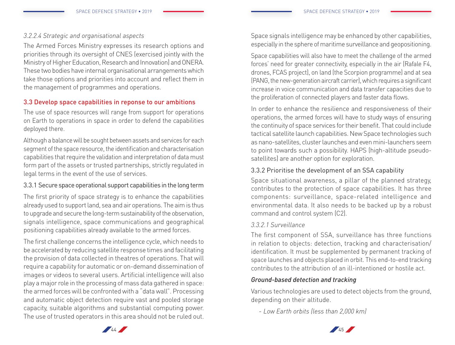# *3.2.2.4 Strategic and organisational aspects*

The Armed Forces Ministry expresses its research options and priorities through its oversight of CNES (exercised jointly with the Ministry of Higher Education, Research and Innovation) and ONERA. These two bodies have internal organisational arrangements which take those options and priorities into account and reflect them in the management of programmes and operations.

#### 3.3 Develop space capabilities in reponse to our ambitions

The use of space resources will range from support for operations on Earth to operations in space in order to defend the capabilities deployed there.

Although a balance will be sought between assets and services for each segment of the space resource, the identification and characterisation capabilities that require the validation and interpretation of data must form part of the assets or trusted partnerships, strictly regulated in legal terms in the event of the use of services.

# 3.3.1 Secure space operational support capabilities in the long term

The first priority of space strategy is to enhance the capabilities already used to support land, sea and air operations. The aim is thus to upgrade and secure the long-term sustainability of the observation, signals intelligence, space communications and geographical positioning capabilities already available to the armed forces.

The first challenge concerns the intelligence cycle, which needs to be accelerated by reducing satellite response times and facilitating the provision of data collected in theatres of operations. That will require a capability for automatic or on-demand dissemination of images or videos to several users. Artificial intelligence will also play a major role in the processing of mass data gathered in space: the armed forces will be confronted with a "data wall". Processing and automatic object detection require vast and pooled storage capacity, suitable algorithms and substantial computing power. The use of trusted operators in this area should not be ruled out.

Space signals intelligence may be enhanced by other capabilities, especially in the sphere of maritime surveillance and geopositioning.

Space capabilities will also have to meet the challenge of the armed forces' need for greater connectivity, especially in the air (Rafale F4, drones, FCAS project), on land (the Scorpion programme) and at sea (PANG, the new-generation aircraft carrier), which requires a significant increase in voice communication and data transfer capacities due to the proliferation of connected players and faster data flows.

In order to enhance the resilience and responsiveness of their operations, the armed forces will have to study ways of ensuring the continuity of space services for their benefit. That could include tactical satellite launch capabilities. New Space technologies such as nano-satellites, cluster launches and even mini-launchers seem to point towards such a possibility. HAPS (high-altitude pseudosatellites) are another option for exploration.

# 3.3.2 Prioritise the development of an SSA capability

Space situational awareness, a pillar of the planned strategy, contributes to the protection of space capabilities. It has three components: surveillance, space-related intelligence and environmental data. It also needs to be backed up by a robust command and control system (C2).

# *3.3.2.1 Surveillance*

The first component of SSA, surveillance has three functions in relation to objects: detection, tracking and characterisation/ identification. It must be supplemented by permanent tracking of space launches and objects placed in orbit. This end-to-end tracking contributes to the attribution of an ill-intentioned or hostile act.

# *Ground-based detection and tracking*

Various technologies are used to detect objects from the ground, depending on their altitude.

- *Low Earth orbits (less than 2,000 km)*

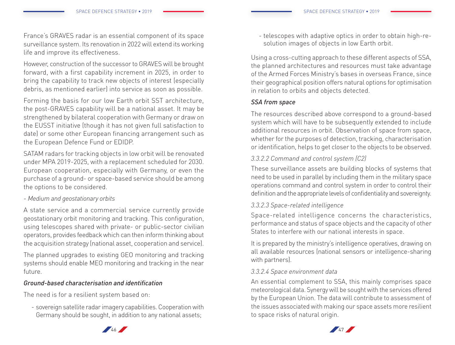France's GRAVES radar is an essential component of its space surveillance system. Its renovation in 2022 will extend its working life and improve its effectiveness.

However, construction of the successor to GRAVES will be brought forward, with a first capability increment in 2025, in order to bring the capability to track new objects of interest (especially debris, as mentioned earlier) into service as soon as possible.

Forming the basis for our low Earth orbit SST architecture, the post-GRAVES capability will be a national asset. It may be strengthened by bilateral cooperation with Germany or draw on the EUSST initiative (though it has not given full satisfaction to date) or some other European financing arrangement such as the European Defence Fund or EDIDP.

SATAM radars for tracking objects in low orbit will be renovated under MPA 2019-2025, with a replacement scheduled for 2030. European cooperation, especially with Germany, or even the purchase of a ground- or space-based service should be among the options to be considered.

- *Medium and geostationary orbits*

A state service and a commercial service currently provide geostationary orbit monitoring and tracking. This configuration, using telescopes shared with private- or public-sector civilian operators, provides feedback which can then inform thinking about the acquisition strategy (national asset, cooperation and service).

The planned upgrades to existing GEO monitoring and tracking systems should enable MEO monitoring and tracking in the near future.

#### *Ground-based characterisation and identification*

The need is for a resilient system based on:

- sovereign satellite radar imagery capabilities. Cooperation with Germany should be sought, in addition to any national assets;

- telescopes with adaptive optics in order to obtain high-resolution images of objects in low Earth orbit.

Using a cross-cutting approach to these different aspects of SSA, the planned architectures and resources must take advantage of the Armed Forces Ministry's bases in overseas France, since their geographical position offers natural options for optimisation in relation to orbits and objects detected.

# *SSA from space*

The resources described above correspond to a ground-based system which will have to be subsequently extended to include additional resources in orbit. Observation of space from space, whether for the purposes of detection, tracking, characterisation or identification, helps to get closer to the objects to be observed.

# *3.3.2.2 Command and control system (C2)*

These surveillance assets are building blocks of systems that need to be used in parallel by including them in the military space operations command and control system in order to control their definition and the appropriate levels of confidentiality and sovereignty.

#### *3.3.2.3 Space-related intelligence*

Space-related intelligence concerns the characteristics, performance and status of space objects and the capacity of other States to interfere with our national interests in space.

It is prepared by the ministry's intelligence operatives, drawing on all available resources (national sensors or intelligence-sharing with partners).

# *3.3.2.4 Space environment data*

An essential complement to SSA, this mainly comprises space meteorological data. Synergy will be sought with the services offered by the European Union. The data will contribute to assessment of the issues associated with making our space assets more resilient to space risks of natural origin.



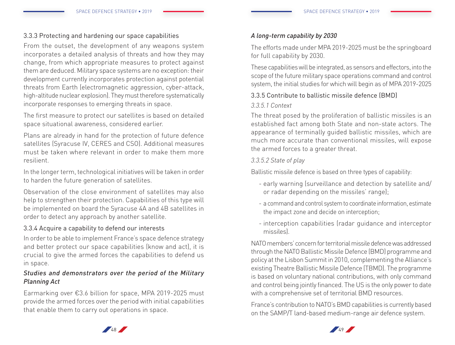# 3.3.3 Protecting and hardening our space capabilities

From the outset, the development of any weapons system incorporates a detailed analysis of threats and how they may change, from which appropriate measures to protect against them are deduced. Military space systems are no exception: their development currently incorporates protection against potential threats from Earth (electromagnetic aggression, cyber-attack, high-altitude nuclear explosion). They must therefore systematically incorporate responses to emerging threats in space.

The first measure to protect our satellites is based on detailed space situational awareness, considered earlier.

Plans are already in hand for the protection of future defence satellites (Syracuse IV, CERES and CSO). Additional measures must be taken where relevant in order to make them more resilient.

In the longer term, technological initiatives will be taken in order to harden the future generation of satellites.

Observation of the close environment of satellites may also help to strengthen their protection. Capabilities of this type will be implemented on board the Syracuse 4A and 4B satellites in order to detect any approach by another satellite.

# 3.3.4 Acquire a capability to defend our interests

In order to be able to implement France's space defence strategy and better protect our space capabilities (know and act), it is crucial to give the armed forces the capabilities to defend us in space.

# *Studies and demonstrators over the period of the Military Planning Act*

Earmarking over €3.6 billion for space, MPA 2019-2025 must provide the armed forces over the period with initial capabilities that enable them to carry out operations in space.

#### *A long-term capability by 2030*

The efforts made under MPA 2019-2025 must be the springboard for full capability by 2030.

These capabilities will be integrated, as sensors and effectors, into the scope of the future military space operations command and control system, the initial studies for which will begin as of MPA 2019-2025

# 3.3.5 Contribute to ballistic missile defence (BMD)

#### *3.3.5.1 Context*

The threat posed by the proliferation of ballistic missiles is an established fact among both State and non-state actors. The appearance of terminally guided ballistic missiles, which are much more accurate than conventional missiles, will expose the armed forces to a greater threat.

# *3.3.5.2 State of play*

Ballistic missile defence is based on three types of capability:

- early warning (surveillance and detection by satellite and/ or radar depending on the missiles' range);
- a command and control system to coordinate information, estimate the impact zone and decide on interception;
- interception capabilities (radar guidance and interceptor missiles).

NATO members' concern for territorial missile defence was addressed through the NATO Ballistic Missile Defence (BMD) programme and policy at the Lisbon Summit in 2010, complementing the Alliance's existing Theatre Ballistic Missile Defence (TBMD). The programme is based on voluntary national contributions, with only command and control being jointly financed. The US is the only power to date with a comprehensive set of territorial BMD resources.

France's contribution to NATO's BMD capabilities is currently based on the SAMP/T land-based medium-range air defence system.



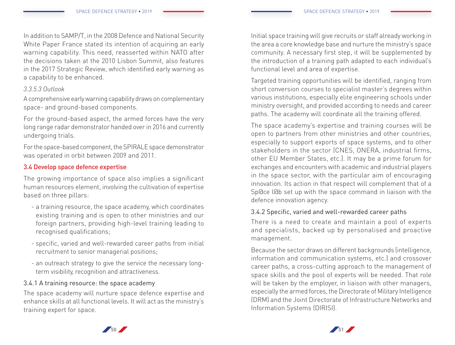In addition to SAMP/T, in the 2008 Defence and National Security White Paper France stated its intention of acquiring an early warning capability. This need, reasserted within NATO after the decisions taken at the 2010 Lisbon Summit, also features in the 2017 Strategic Review, which identified early warning as a capability to be enhanced.

#### *3.3.5.3 Outlook*

A comprehensive early warning capability draws on complementary space- and ground-based components.

For the ground-based aspect, the armed forces have the very long range radar demonstrator handed over in 2016 and currently undergoing trials.

For the space-based component, the SPIRALE space demonstrator was operated in orbit between 2009 and 2011.

# 3.4 Develop space defence expertise

The growing importance of space also implies a significant human resources element, involving the cultivation of expertise based on three pillars:

- a training resource, the space academy, which coordinates existing training and is open to other ministries and our foreign partners, providing high-level training leading to recognised qualifications;
- specific, varied and well-rewarded career paths from initial recruitment to senior managerial positions;
- an outreach strategy to give the service the necessary longterm visibility, recognition and attractiveness.

# 3.4.1 A training resource: the space academy

The space academy will nurture space defence expertise and enhance skills at all functional levels. It will act as the ministry's training expert for space.

Initial space training will give recruits or staff already working in the area a core knowledge base and nurture the ministry's space community. A necessary first step, it will be supplemented by the introduction of a training path adapted to each individual's functional level and area of expertise.

Targeted training opportunities will be identified, ranging from short conversion courses to specialist master's degrees within various institutions, especially elite engineering schools under ministry oversight, and provided according to needs and career paths. The academy will coordinate all the training offered.

The space academy's expertise and training courses will be open to partners from other ministries and other countries, especially to support exports of space systems, and to other stakeholders in the sector (CNES, ONERA, industrial firms, other EU Member States, etc.). It may be a prime forum for exchanges and encounters with academic and industrial players in the space sector, with the particular aim of encouraging innovation. Its action in that respect will complement that of a Sp@ce l@b set up with the space command in liaison with the defence innovation agency.

# 3.4.2 Specific, varied and well-rewarded career paths

There is a need to create and maintain a pool of experts and specialists, backed up by personalised and proactive management.

Because the sector draws on different backgrounds (intelligence, information and communication systems, etc.) and crossover career paths, a cross-cutting approach to the management of space skills and the pool of experts will be needed. That role will be taken by the employer, in liaison with other managers, especially the armed forces, the Directorate of Military Intelligence (DRM) and the Joint Directorate of Infrastructure Networks and Information Systems (DIRISI).



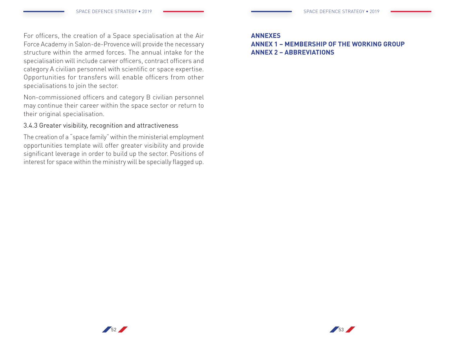For officers, the creation of a Space specialisation at the Air Force Academy in Salon-de-Provence will provide the necessary structure within the armed forces. The annual intake for the specialisation will include career officers, contract officers and category A civilian personnel with scientific or space expertise. Opportunities for transfers will enable officers from other specialisations to join the sector.

Non-commissioned officers and category B civilian personnel may continue their career within the space sector or return to their original specialisation.

# 3.4.3 Greater visibility, recognition and attractiveness

The creation of a "space family" within the ministerial employment opportunities template will offer greater visibility and provide significant leverage in order to build up the sector. Positions of interest for space within the ministry will be specially flagged up.

#### **ANNEXES**

# **ANNEX 1 – MEMBERSHIP OF THE WORKING GROUP ANNEX 2 – ABBREVIATIONS**

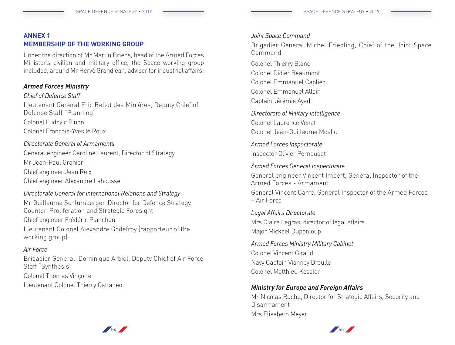# **ANNEX 1 MEMBERSHIP OF THE WORKING GROUP**

Under the direction of Mr Martin Briens, head of the Armed Forces Minister's civilian and military office, the Space working group included, around Mr Hervé Grandjean, adviser for industrial affairs:

# *Armed Forces Ministry*

#### *Chief of Defence Staff*

Lieutenant General Eric Bellot des Minières, Deputy Chief of Defense Staff "Planning" Colonel Ludovic Pinon Colonel François-Yves le Roux

#### *Directorate General of Armaments*

General engineer Caroline Laurent, Director of Strategy Mr Jean-Paul Granier Chief engineer Jean Reix Chief engineer Alexandre Lahousse

# *Directorate General for International Relations and Strategy*

Mr Guillaume Schlumberger, Director for Defence Strategy, Counter-Proliferation and Strategic Foresight Chief engineer Frédéric Planchon Lieutenant Colonel Alexandre Godefroy (rapporteur of the working group)

# *Air Force*

Brigadier General Dominique Arbiol, Deputy Chief of Air Force Staff "Synthesis"

Colonel Thomas Vinçotte Lieutenant Colonel Thierry Cattaneo

#### *Joint Space Command*

Brigadier General Michel Friedling, Chief of the Joint Space Command

Colonel Thierry Blanc Colonel Didier Beaumont Colonel Emmanuel Capliez Colonel Emmanuel Allain Captain Jérémie Ayadi

*Directorate of Military Intelligence* Colonel Laurence Venat

Colonel Jean-Guillaume Moalic

*Armed Forces Inspectorate*  Inspector Olivier Pernaudet

#### *Armed Forces General Inspectorate*

General engineer Vincent Imbert, General Inspector of the Armed Forces - Armament

General Vincent Carre, General Inspector of the Armed Forces – Air Force

*Legal Affairs Directorate* Mrs Claire Legras, director of legal affairs Major Mickael Dupenloup

*Armed Forces Ministry Military Cabinet*  Colonel Vincent Giraud Navy Captain Vianney Droulle Colonel Matthieu Kessler

# *Ministry for Europe and Foreign Affairs*

Mr Nicolas Roche, Director for Strategic Affairs, Security and Disarmament Mrs Elisabeth Meyer



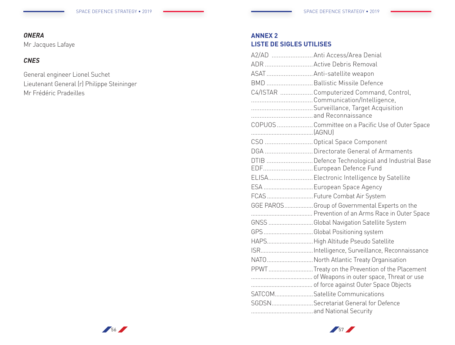# *ONERA*

Mr Jacques Lafaye

# *CNES*

General engineer Lionel Suchet Lieutenant General (r) Philippe Steininger Mr Frédéric Pradeilles

# **ANNEX 2 LISTE DE SIGLES UTILISES**

| A2/AD  Anti Access/Area Denial                    |
|---------------------------------------------------|
| ADR  Active Debris Removal                        |
| ASAT Anti-satellite weapon                        |
| BMD  Ballistic Missile Defence                    |
| C4/ISTAR  Computerized Command, Control,          |
| Communication/Intelligence,                       |
|                                                   |
|                                                   |
| COPUOS  Committee on a Pacific Use of Outer Space |
| CSO  Optical Space Component                      |
| DGA  Directorate General of Armaments             |
| DTIB  Defence Technological and Industrial Base   |
| EDF European Defence Fund                         |
| ELISA Electronic Intelligence by Satellite        |
| ESA  European Space Agency                        |
| FCAS  Future Combat Air System                    |
| GGE PAROSGroup of Governmental Experts on the     |
| GNSS Global Navigation Satellite System           |
| GPS Global Positioning system                     |
| HAPS High Altitude Pseudo Satellite               |
|                                                   |
| NATO North Atlantic Treaty Organisation           |
| PPWTTreaty on the Prevention of the Placement     |
|                                                   |
|                                                   |
| SATCOM Satellite Communications                   |
| SGDSNSecretariat General for Defence              |
|                                                   |



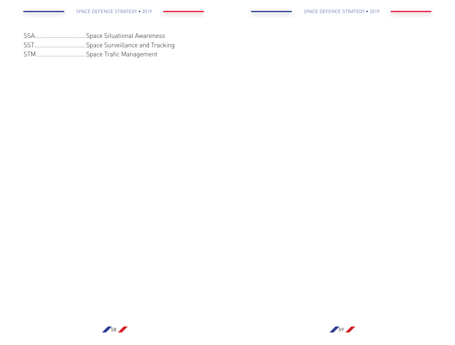- SSA................................Space Situational Awareness
- SST................................Space Surveillance and Tracking
- STM...............................Space Trafic Management